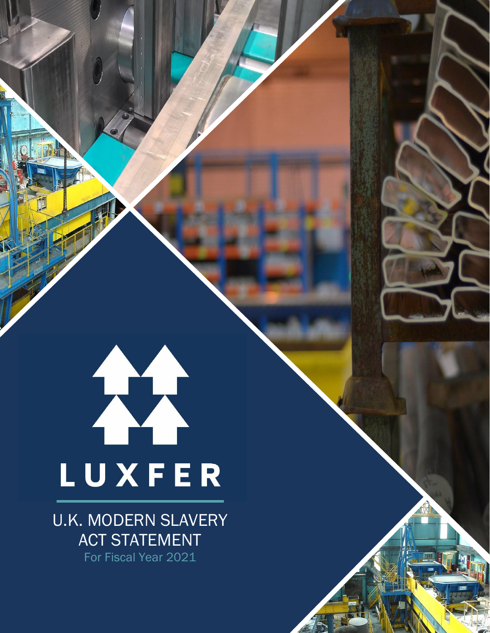# LUXFER

U.K. MODERN SLAVERY ACT STATEMENT For Fiscal Year 2021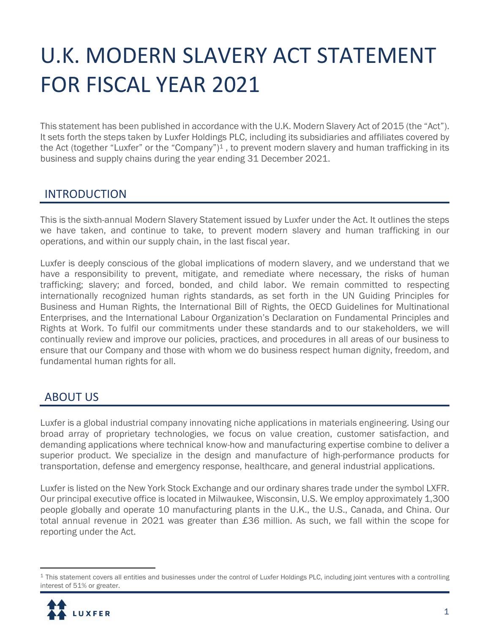# U.K. MODERN SLAVERY ACT STATEMENT FOR FISCAL YEAR 2021

This statement has been published in accordance with the U.K. Modern Slavery Act of 2015 (the "Act"). It sets forth the steps taken by Luxfer Holdings PLC, including its subsidiaries and affiliates covered by the Act (together "Luxfer" or the "Company")<sup>1</sup>, to prevent modern slavery and human trafficking in its business and supply chains during the year ending 31 December 2021.

#### INTRODUCTION

This is the sixth-annual Modern Slavery Statement issued by Luxfer under the Act. It outlines the steps we have taken, and continue to take, to prevent modern slavery and human trafficking in our operations, and within our supply chain, in the last fiscal year.

Luxfer is deeply conscious of the global implications of modern slavery, and we understand that we have a responsibility to prevent, mitigate, and remediate where necessary, the risks of human trafficking; slavery; and forced, bonded, and child labor. We remain committed to respecting internationally recognized human rights standards, as set forth in the UN Guiding Principles for Business and Human Rights, the International Bill of Rights, the OECD Guidelines for Multinational Enterprises, and the International Labour Organization's Declaration on Fundamental Principles and Rights at Work. To fulfil our commitments under these standards and to our stakeholders, we will continually review and improve our policies, practices, and procedures in all areas of our business to ensure that our Company and those with whom we do business respect human dignity, freedom, and fundamental human rights for all.

#### ABOUT US

Luxfer is a global industrial company innovating niche applications in materials engineering. Using our broad array of proprietary technologies, we focus on value creation, customer satisfaction, and demanding applications where technical know-how and manufacturing expertise combine to deliver a superior product. We specialize in the design and manufacture of high-performance products for transportation, defense and emergency response, healthcare, and general industrial applications.

Luxfer is listed on the New York Stock Exchange and our ordinary shares trade under the symbol LXFR. Our principal executive office is located in Milwaukee, Wisconsin, U.S. We employ approximately 1,300 people globally and operate 10 manufacturing plants in the U.K., the U.S., Canada, and China. Our total annual revenue in 2021 was greater than £36 million. As such, we fall within the scope for reporting under the Act.

 $1$  This statement covers all entities and businesses under the control of Luxfer Holdings PLC, including joint ventures with a controlling interest of 51% or greater.

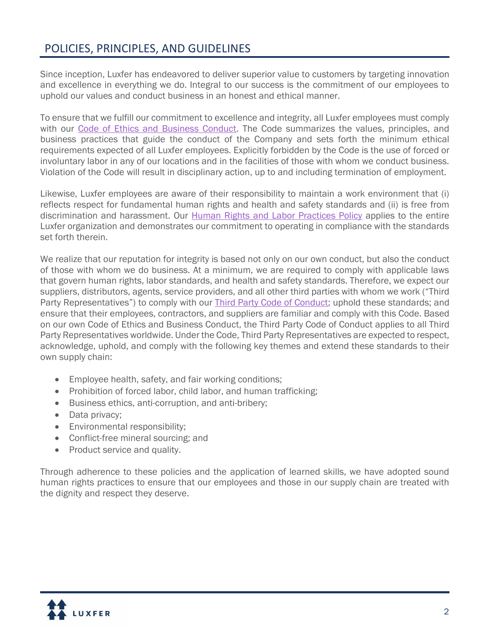## POLICIES, PRINCIPLES, AND GUIDELINES

Since inception, Luxfer has endeavored to deliver superior value to customers by targeting innovation and excellence in everything we do. Integral to our success is the commitment of our employees to uphold our values and conduct business in an honest and ethical manner.

To ensure that we fulfill our commitment to excellence and integrity, all Luxfer employees must comply with our [Code of Ethics and Business Conduct.](https://www.luxfer.com/environment-social-and-governance/governance/code-of-ethics-and-business-conduct/) The Code summarizes the values, principles, and business practices that guide the conduct of the Company and sets forth the minimum ethical requirements expected of all Luxfer employees. Explicitly forbidden by the Code is the use of forced or involuntary labor in any of our locations and in the facilities of those with whom we conduct business. Violation of the Code will result in disciplinary action, up to and including termination of employment.

Likewise, Luxfer employees are aware of their responsibility to maintain a work environment that (i) reflects respect for fundamental human rights and health and safety standards and (ii) is free from discrimination and harassment. Our [Human Rights and Labor Practices Policy](https://www.luxfer.com/environment-social-and-governance/social/human-rights-and-labor-practices-policy/) applies to the entire Luxfer organization and demonstrates our commitment to operating in compliance with the standards set forth therein.

We realize that our reputation for integrity is based not only on our own conduct, but also the conduct of those with whom we do business. At a minimum, we are required to comply with applicable laws that govern human rights, labor standards, and health and safety standards. Therefore, we expect our suppliers, distributors, agents, service providers, and all other third parties with whom we work ("Third Party Representatives") to comply with our [Third Party Code of Conduct;](https://www.luxfer.com/environment-social-and-governance/social/third-party-code-of-conduct/) uphold these standards; and ensure that their employees, contractors, and suppliers are familiar and comply with this Code. Based on our own Code of Ethics and Business Conduct, the Third Party Code of Conduct applies to all Third Party Representatives worldwide. Under the Code, Third Party Representatives are expected to respect, acknowledge, uphold, and comply with the following key themes and extend these standards to their own supply chain:

- Employee health, safety, and fair working conditions;
- Prohibition of forced labor, child labor, and human trafficking;
- Business ethics, anti-corruption, and anti-bribery;
- Data privacy;
- Environmental responsibility;
- Conflict-free mineral sourcing; and
- Product service and quality.

Through adherence to these policies and the application of learned skills, we have adopted sound human rights practices to ensure that our employees and those in our supply chain are treated with the dignity and respect they deserve.

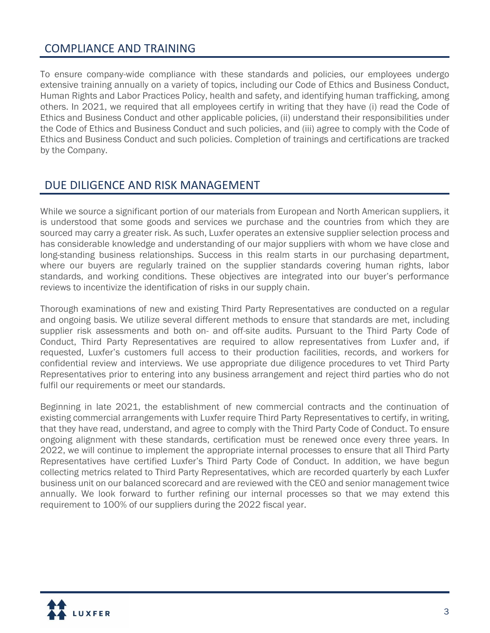#### COMPLIANCE AND TRAINING

To ensure company-wide compliance with these standards and policies, our employees undergo extensive training annually on a variety of topics, including our Code of Ethics and Business Conduct, Human Rights and Labor Practices Policy, health and safety, and identifying human trafficking, among others. In 2021, we required that all employees certify in writing that they have (i) read the Code of Ethics and Business Conduct and other applicable policies, (ii) understand their responsibilities under the Code of Ethics and Business Conduct and such policies, and (iii) agree to comply with the Code of Ethics and Business Conduct and such policies. Completion of trainings and certifications are tracked by the Company.

#### DUE DILIGENCE AND RISK MANAGEMENT

While we source a significant portion of our materials from European and North American suppliers, it is understood that some goods and services we purchase and the countries from which they are sourced may carry a greater risk. As such, Luxfer operates an extensive supplier selection process and has considerable knowledge and understanding of our major suppliers with whom we have close and long-standing business relationships. Success in this realm starts in our purchasing department, where our buyers are regularly trained on the supplier standards covering human rights, labor standards, and working conditions. These objectives are integrated into our buyer's performance reviews to incentivize the identification of risks in our supply chain.

Thorough examinations of new and existing Third Party Representatives are conducted on a regular and ongoing basis. We utilize several different methods to ensure that standards are met, including supplier risk assessments and both on- and off-site audits. Pursuant to the Third Party Code of Conduct, Third Party Representatives are required to allow representatives from Luxfer and, if requested, Luxfer's customers full access to their production facilities, records, and workers for confidential review and interviews. We use appropriate due diligence procedures to vet Third Party Representatives prior to entering into any business arrangement and reject third parties who do not fulfil our requirements or meet our standards.

Beginning in late 2021, the establishment of new commercial contracts and the continuation of existing commercial arrangements with Luxfer require Third Party Representatives to certify, in writing, that they have read, understand, and agree to comply with the Third Party Code of Conduct. To ensure ongoing alignment with these standards, certification must be renewed once every three years. In 2022, we will continue to implement the appropriate internal processes to ensure that all Third Party Representatives have certified Luxfer's Third Party Code of Conduct. In addition, we have begun collecting metrics related to Third Party Representatives, which are recorded quarterly by each Luxfer business unit on our balanced scorecard and are reviewed with the CEO and senior management twice annually. We look forward to further refining our internal processes so that we may extend this requirement to 100% of our suppliers during the 2022 fiscal year.

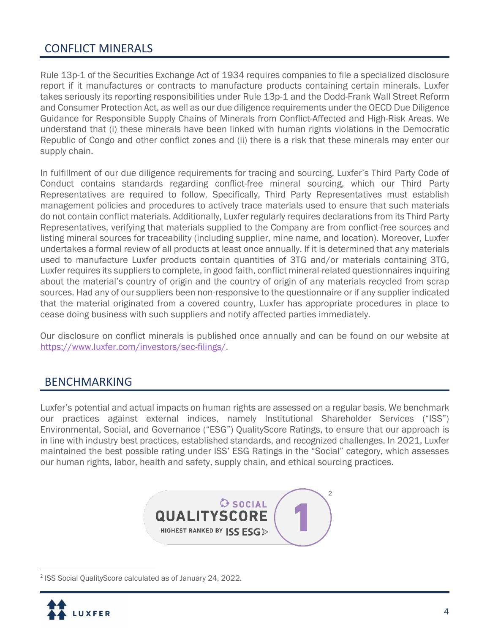### CONFLICT MINERALS

Rule 13p-1 of the Securities Exchange Act of 1934 requires companies to file a specialized disclosure report if it manufactures or contracts to manufacture products containing certain minerals. Luxfer takes seriously its reporting responsibilities under Rule 13p-1 and the Dodd-Frank Wall Street Reform and Consumer Protection Act, as well as our due diligence requirements under the OECD Due Diligence Guidance for Responsible Supply Chains of Minerals from Conflict-Affected and High-Risk Areas. We understand that (i) these minerals have been linked with human rights violations in the Democratic Republic of Congo and other conflict zones and (ii) there is a risk that these minerals may enter our supply chain.

In fulfillment of our due diligence requirements for tracing and sourcing, Luxfer's Third Party Code of Conduct contains standards regarding conflict-free mineral sourcing, which our Third Party Representatives are required to follow. Specifically, Third Party Representatives must establish management policies and procedures to actively trace materials used to ensure that such materials do not contain conflict materials. Additionally, Luxfer regularly requires declarations from its Third Party Representatives, verifying that materials supplied to the Company are from conflict-free sources and listing mineral sources for traceability (including supplier, mine name, and location). Moreover, Luxfer undertakes a formal review of all products at least once annually. If it is determined that any materials used to manufacture Luxfer products contain quantities of 3TG and/or materials containing 3TG, Luxfer requires its suppliers to complete, in good faith, conflict mineral-related questionnaires inquiring about the material's country of origin and the country of origin of any materials recycled from scrap sources. Had any of our suppliers been non-responsive to the questionnaire or if any supplier indicated that the material originated from a covered country, Luxfer has appropriate procedures in place to cease doing business with such suppliers and notify affected parties immediately.

Our disclosure on conflict minerals is published once annually and can be found on our website at [https://www.luxfer.com/investors/sec-filings/.](https://www.luxfer.com/investors/sec-filings/)

#### BENCHMARKING

Luxfer's potential and actual impacts on human rights are assessed on a regular basis. We benchmark our practices against external indices, namely Institutional Shareholder Services ("ISS") Environmental, Social, and Governance ("ESG") QualityScore Ratings, to ensure that our approach is in line with industry best practices, established standards, and recognized challenges. In 2021, Luxfer maintained the best possible rating under ISS' ESG Ratings in the "Social" category, which assesses our human rights, labor, health and safety, supply chain, and ethical sourcing practices.



<sup>2</sup> ISS Social QualityScore calculated as of January 24, 2022.